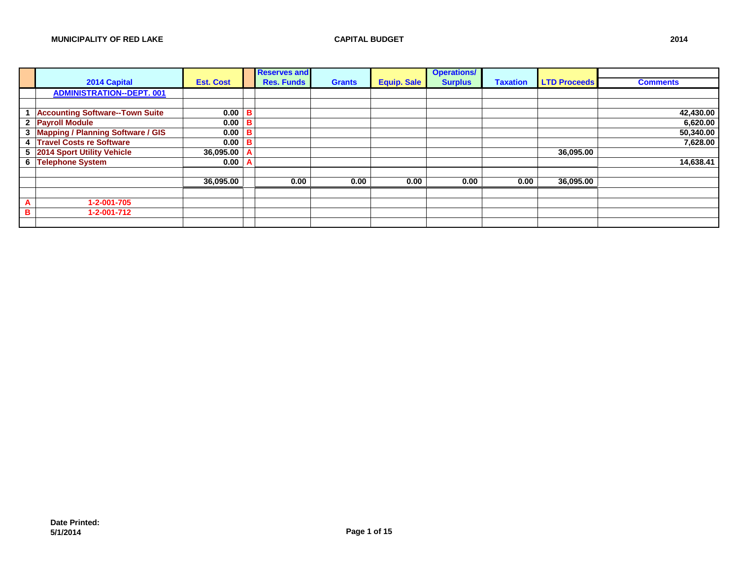|   |                                          |                  |   | <b>Reserves and</b> |               |                    | <b>Operations/</b> |                 |                     |                 |
|---|------------------------------------------|------------------|---|---------------------|---------------|--------------------|--------------------|-----------------|---------------------|-----------------|
|   | 2014 Capital                             | <b>Est. Cost</b> |   | <b>Res. Funds</b>   | <b>Grants</b> | <b>Equip. Sale</b> | <b>Surplus</b>     | <b>Taxation</b> | <b>LTD Proceeds</b> | <b>Comments</b> |
|   | <b>ADMINISTRATION--DEPT. 001</b>         |                  |   |                     |               |                    |                    |                 |                     |                 |
|   |                                          |                  |   |                     |               |                    |                    |                 |                     |                 |
|   | <b>Accounting Software--Town Suite</b>   | $0.00$ B         |   |                     |               |                    |                    |                 |                     | 42,430.00       |
|   | 2 Payroll Module                         | 0.00             | в |                     |               |                    |                    |                 |                     | 6,620.00        |
| 3 | <b>Mapping / Planning Software / GIS</b> | 0.00             | B |                     |               |                    |                    |                 |                     | 50,340.00       |
|   | 4 Travel Costs re Software               | 0.00             | B |                     |               |                    |                    |                 |                     | 7,628.00        |
|   | 5 2014 Sport Utility Vehicle             | 36,095.00        | A |                     |               |                    |                    |                 | 36,095.00           |                 |
|   | 6 Telephone System                       | 0.00             | A |                     |               |                    |                    |                 |                     | 14,638.41       |
|   |                                          |                  |   |                     |               |                    |                    |                 |                     |                 |
|   |                                          | 36,095.00        |   | 0.00                | 0.00          | 0.00               | 0.00               | 0.00            | 36,095.00           |                 |
|   |                                          |                  |   |                     |               |                    |                    |                 |                     |                 |
| A | 1-2-001-705                              |                  |   |                     |               |                    |                    |                 |                     |                 |
| в | 1-2-001-712                              |                  |   |                     |               |                    |                    |                 |                     |                 |
|   |                                          |                  |   |                     |               |                    |                    |                 |                     |                 |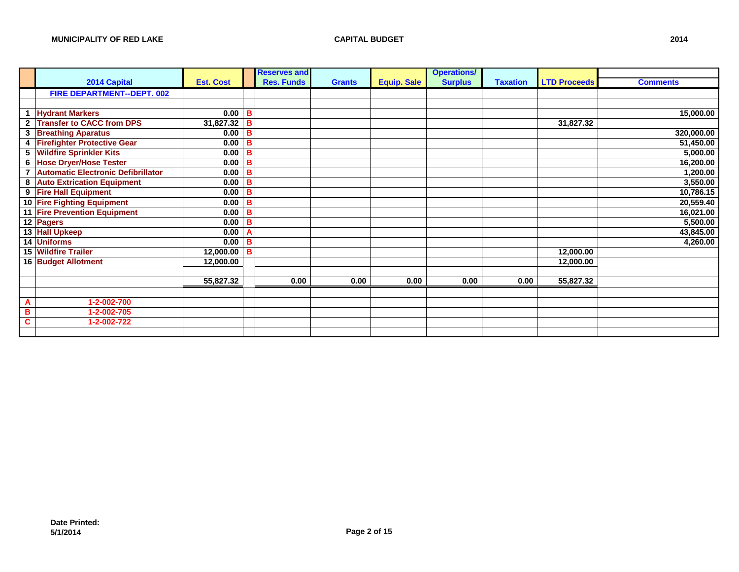|              |                                           |                  |   | <b>Reserves and</b> |               |                    | <b>Operations/</b> |                 |                     |                 |
|--------------|-------------------------------------------|------------------|---|---------------------|---------------|--------------------|--------------------|-----------------|---------------------|-----------------|
|              | 2014 Capital                              | <b>Est. Cost</b> |   | <b>Res. Funds</b>   | <b>Grants</b> | <b>Equip. Sale</b> | <b>Surplus</b>     | <b>Taxation</b> | <b>LTD Proceeds</b> | <b>Comments</b> |
|              | FIRE DEPARTMENT--DEPT. 002                |                  |   |                     |               |                    |                    |                 |                     |                 |
|              |                                           |                  |   |                     |               |                    |                    |                 |                     |                 |
| $\mathbf{1}$ | <b>Hydrant Markers</b>                    | 0.00             | в |                     |               |                    |                    |                 |                     | 15,000.00       |
| $\mathbf{2}$ | <b>Transfer to CACC from DPS</b>          | 31,827.32        | в |                     |               |                    |                    |                 | 31,827.32           |                 |
| 3            | <b>Breathing Aparatus</b>                 | 0.00             | в |                     |               |                    |                    |                 |                     | 320,000.00      |
| 4            | <b>Firefighter Protective Gear</b>        | 0.00             | в |                     |               |                    |                    |                 |                     | 51,450.00       |
| 5            | <b>Wildfire Sprinkler Kits</b>            | 0.00             | в |                     |               |                    |                    |                 |                     | 5,000.00        |
| 6            | <b>Hose Dryer/Hose Tester</b>             | 0.00             | в |                     |               |                    |                    |                 |                     | 16,200.00       |
| 7            | <b>Automatic Electronic Defibrillator</b> | 0.00             | B |                     |               |                    |                    |                 |                     | 1,200.00        |
| 8            | <b>Auto Extrication Equipment</b>         | 0.00             | B |                     |               |                    |                    |                 |                     | 3,550.00        |
| 9            | <b>Fire Hall Equipment</b>                | 0.00             | в |                     |               |                    |                    |                 |                     | 10,786.15       |
|              | 10 Fire Fighting Equipment                | 0.00             | в |                     |               |                    |                    |                 |                     | 20,559.40       |
|              | <b>11 Fire Prevention Equipment</b>       | 0.00             | в |                     |               |                    |                    |                 |                     | 16,021.00       |
|              | $\overline{12}$ Pagers                    | 0.00             | в |                     |               |                    |                    |                 |                     | 5,500.00        |
|              | 13 Hall Upkeep                            | 0.00             |   |                     |               |                    |                    |                 |                     | 43,845.00       |
|              | 14 Uniforms                               | 0.00             | в |                     |               |                    |                    |                 |                     | 4,260.00        |
|              | 15 Wildfire Trailer                       | 12,000.00        | B |                     |               |                    |                    |                 | 12,000.00           |                 |
|              | 16 Budget Allotment                       | 12,000.00        |   |                     |               |                    |                    |                 | 12,000.00           |                 |
|              |                                           |                  |   |                     |               |                    |                    |                 |                     |                 |
|              |                                           | 55,827.32        |   | 0.00                | 0.00          | 0.00               | 0.00               | 0.00            | 55,827.32           |                 |
|              |                                           |                  |   |                     |               |                    |                    |                 |                     |                 |
| A            | 1-2-002-700                               |                  |   |                     |               |                    |                    |                 |                     |                 |
| B            | 1-2-002-705                               |                  |   |                     |               |                    |                    |                 |                     |                 |
| C            | 1-2-002-722                               |                  |   |                     |               |                    |                    |                 |                     |                 |
|              |                                           |                  |   |                     |               |                    |                    |                 |                     |                 |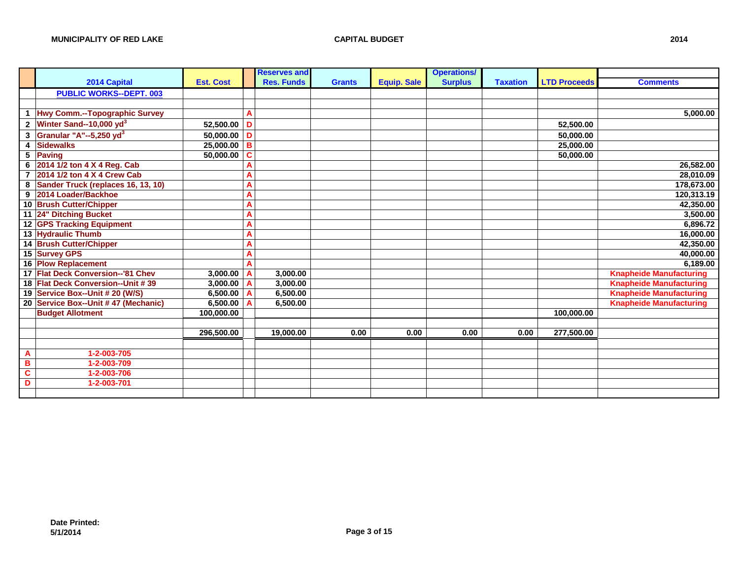|                         |                                     |                  |   | <b>Reserves and</b> |               |                    | <b>Operations/</b> |                 |                     |                                |
|-------------------------|-------------------------------------|------------------|---|---------------------|---------------|--------------------|--------------------|-----------------|---------------------|--------------------------------|
|                         | 2014 Capital                        | <b>Est. Cost</b> |   | <b>Res. Funds</b>   | <b>Grants</b> | <b>Equip. Sale</b> | <b>Surplus</b>     | <b>Taxation</b> | <b>LTD Proceeds</b> | <b>Comments</b>                |
|                         | <b>PUBLIC WORKS--DEPT. 003</b>      |                  |   |                     |               |                    |                    |                 |                     |                                |
|                         |                                     |                  |   |                     |               |                    |                    |                 |                     |                                |
| $\mathbf{1}$            | Hwy Comm.--Topographic Survey       |                  | Α |                     |               |                    |                    |                 |                     | 5,000.00                       |
| $\mathbf{2}$            | Winter Sand--10,000 yd <sup>3</sup> | 52,500.00        | D |                     |               |                    |                    |                 | 52,500.00           |                                |
| $\mathbf 3$             | Granular "A"--5,250 yd <sup>3</sup> | 50,000.00        | D |                     |               |                    |                    |                 | 50,000.00           |                                |
| $\overline{\mathbf{4}}$ | <b>Sidewalks</b>                    | 25,000.00        | B |                     |               |                    |                    |                 | 25,000.00           |                                |
|                         | 5 Paving                            | 50,000.00        | C |                     |               |                    |                    |                 | 50,000.00           |                                |
|                         | 6 2014 1/2 ton 4 X 4 Reg. Cab       |                  | Α |                     |               |                    |                    |                 |                     | 26,582.00                      |
| $\overline{7}$          | 2014 1/2 ton 4 X 4 Crew Cab         |                  | A |                     |               |                    |                    |                 |                     | 28,010.09                      |
| 8                       | Sander Truck (replaces 16, 13, 10)  |                  | A |                     |               |                    |                    |                 |                     | 178,673.00                     |
|                         | 9 2014 Loader/Backhoe               |                  | A |                     |               |                    |                    |                 |                     | 120,313.19                     |
|                         | 10 Brush Cutter/Chipper             |                  | A |                     |               |                    |                    |                 |                     | 42,350.00                      |
|                         | 11 24" Ditching Bucket              |                  | A |                     |               |                    |                    |                 |                     | 3,500.00                       |
|                         | 12 GPS Tracking Equipment           |                  | A |                     |               |                    |                    |                 |                     | 6,896.72                       |
|                         | 13 Hydraulic Thumb                  |                  | A |                     |               |                    |                    |                 |                     | 16,000.00                      |
|                         | 14 Brush Cutter/Chipper             |                  | A |                     |               |                    |                    |                 |                     | 42,350.00                      |
|                         | 15 Survey GPS                       |                  | Α |                     |               |                    |                    |                 |                     | 40,000.00                      |
|                         | <b>16 Plow Replacement</b>          |                  | Α |                     |               |                    |                    |                 |                     | 6,189.00                       |
|                         | 17 Flat Deck Conversion--'81 Chev   | 3,000.00         | Α | 3,000.00            |               |                    |                    |                 |                     | <b>Knapheide Manufacturing</b> |
|                         | 18 Flat Deck Conversion--Unit #39   | 3,000.00         |   | 3,000.00            |               |                    |                    |                 |                     | <b>Knapheide Manufacturing</b> |
|                         | 19 Service Box--Unit # 20 (W/S)     | 6,500.00         |   | 6,500.00            |               |                    |                    |                 |                     | <b>Knapheide Manufacturing</b> |
|                         | 20 Service Box--Unit #47 (Mechanic) | 6,500.00         |   | 6,500.00            |               |                    |                    |                 |                     | <b>Knapheide Manufacturing</b> |
|                         | <b>Budget Allotment</b>             | 100,000.00       |   |                     |               |                    |                    |                 | 100,000.00          |                                |
|                         |                                     |                  |   |                     |               |                    |                    |                 |                     |                                |
|                         |                                     | 296,500.00       |   | 19,000.00           | 0.00          | 0.00               | 0.00               | 0.00            | 277,500.00          |                                |
|                         |                                     |                  |   |                     |               |                    |                    |                 |                     |                                |
| $\overline{A}$          | 1-2-003-705                         |                  |   |                     |               |                    |                    |                 |                     |                                |
| B                       | 1-2-003-709                         |                  |   |                     |               |                    |                    |                 |                     |                                |
| $\overline{\mathbf{c}}$ | 1-2-003-706                         |                  |   |                     |               |                    |                    |                 |                     |                                |
| D                       | 1-2-003-701                         |                  |   |                     |               |                    |                    |                 |                     |                                |
|                         |                                     |                  |   |                     |               |                    |                    |                 |                     |                                |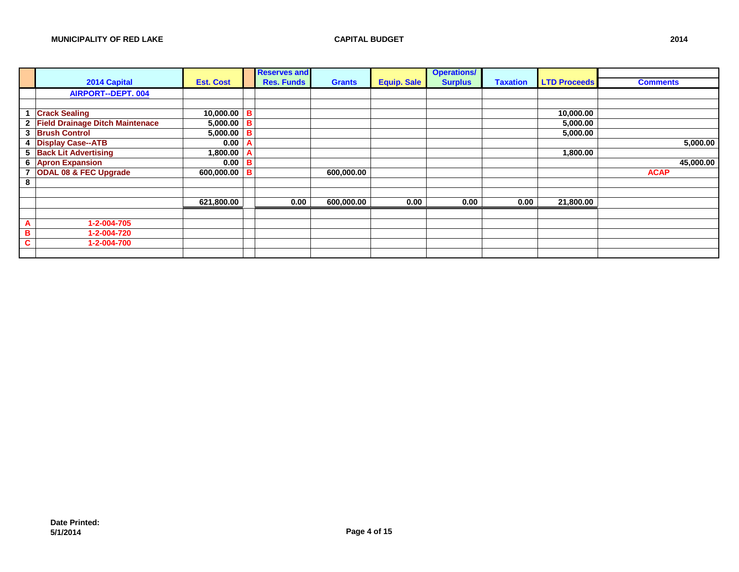|   |                                   |                     |   | <b>Reserves and</b> |               |                    | <b>Operations/</b> |                 |                     |                 |
|---|-----------------------------------|---------------------|---|---------------------|---------------|--------------------|--------------------|-----------------|---------------------|-----------------|
|   | 2014 Capital                      | <b>Est. Cost</b>    |   | <b>Res. Funds</b>   | <b>Grants</b> | <b>Equip. Sale</b> | <b>Surplus</b>     | <b>Taxation</b> | <b>LTD Proceeds</b> | <b>Comments</b> |
|   | <b>AIRPORT--DEPT. 004</b>         |                     |   |                     |               |                    |                    |                 |                     |                 |
|   |                                   |                     |   |                     |               |                    |                    |                 |                     |                 |
|   | <b>Crack Sealing</b>              | $10,000.00$ B       |   |                     |               |                    |                    |                 | 10,000.00           |                 |
|   | 2 Field Drainage Ditch Maintenace | $5,000.00$ B        |   |                     |               |                    |                    |                 | 5,000.00            |                 |
| 3 | <b>Brush Control</b>              | 5,000.00   <b>B</b> |   |                     |               |                    |                    |                 | 5,000.00            |                 |
| 4 | <b>Display Case--ATB</b>          | 0.00                | A |                     |               |                    |                    |                 |                     | 5,000.00        |
|   | 5 Back Lit Advertising            | 1,800.00            | A |                     |               |                    |                    |                 | 1,800.00            |                 |
|   | 6 Apron Expansion                 | 0.00                | В |                     |               |                    |                    |                 |                     | 45,000.00       |
| 7 | <b>ODAL 08 &amp; FEC Upgrade</b>  | 600,000.00 B        |   |                     | 600,000.00    |                    |                    |                 |                     | <b>ACAP</b>     |
| 8 |                                   |                     |   |                     |               |                    |                    |                 |                     |                 |
|   |                                   |                     |   |                     |               |                    |                    |                 |                     |                 |
|   |                                   | 621,800.00          |   | 0.00                | 600,000.00    | 0.00               | 0.00               | 0.00            | 21,800.00           |                 |
|   |                                   |                     |   |                     |               |                    |                    |                 |                     |                 |
| A | 1-2-004-705                       |                     |   |                     |               |                    |                    |                 |                     |                 |
| в | 1-2-004-720                       |                     |   |                     |               |                    |                    |                 |                     |                 |
|   | 1-2-004-700                       |                     |   |                     |               |                    |                    |                 |                     |                 |
|   |                                   |                     |   |                     |               |                    |                    |                 |                     |                 |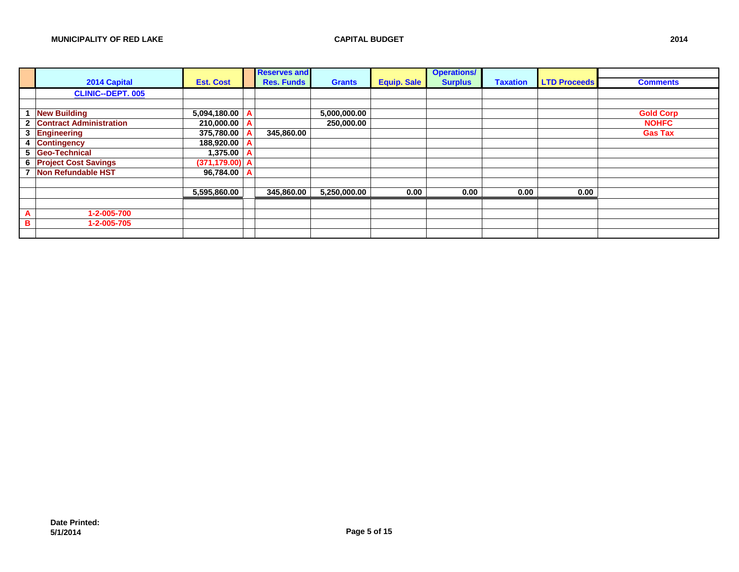|                |                                |                   |                | <b>Reserves and</b> |               |                    | <b>Operations/</b> |                 |                     |                  |
|----------------|--------------------------------|-------------------|----------------|---------------------|---------------|--------------------|--------------------|-----------------|---------------------|------------------|
|                | 2014 Capital                   | <b>Est. Cost</b>  |                | <b>Res. Funds</b>   | <b>Grants</b> | <b>Equip. Sale</b> | <b>Surplus</b>     | <b>Taxation</b> | <b>LTD Proceeds</b> | <b>Comments</b>  |
|                | <b>CLINIC--DEPT. 005</b>       |                   |                |                     |               |                    |                    |                 |                     |                  |
|                |                                |                   |                |                     |               |                    |                    |                 |                     |                  |
|                | <b>New Building</b>            | 5,094,180.00      | $\overline{A}$ |                     | 5,000,000.00  |                    |                    |                 |                     | <b>Gold Corp</b> |
| $\mathbf{2}$   | <b>Contract Administration</b> | 210,000.00 A      |                |                     | 250,000.00    |                    |                    |                 |                     | <b>NOHFC</b>     |
|                | 3 Engineering                  | 375,780.00        |                | 345,860.00          |               |                    |                    |                 |                     | <b>Gas Tax</b>   |
| 4              | Contingency                    | 188,920.00 A      |                |                     |               |                    |                    |                 |                     |                  |
|                | 5 Geo-Technical                | $1,375.00 \mid A$ |                |                     |               |                    |                    |                 |                     |                  |
|                | 6 Project Cost Savings         | $(371, 179.00)$ A |                |                     |               |                    |                    |                 |                     |                  |
|                | Non Refundable HST             | 96,784.00 A       |                |                     |               |                    |                    |                 |                     |                  |
|                |                                |                   |                |                     |               |                    |                    |                 |                     |                  |
|                |                                | 5,595,860.00      |                | 345,860.00          | 5,250,000.00  | 0.00               | 0.00               | 0.00            | 0.00                |                  |
|                |                                |                   |                |                     |               |                    |                    |                 |                     |                  |
| $\overline{A}$ | 1-2-005-700                    |                   |                |                     |               |                    |                    |                 |                     |                  |
| B              | 1-2-005-705                    |                   |                |                     |               |                    |                    |                 |                     |                  |
|                |                                |                   |                |                     |               |                    |                    |                 |                     |                  |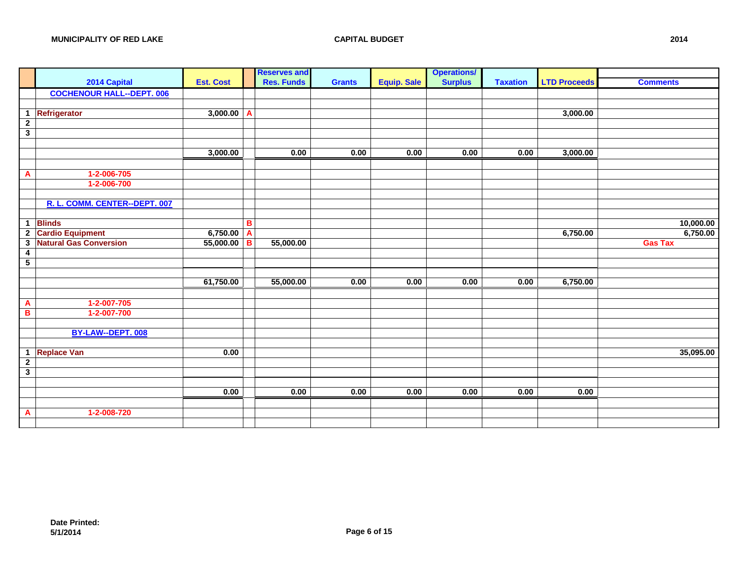|                               |                                          |                         |   | <b>Reserves and</b> |               |                    | <b>Operations/</b> |                 |                     |                       |
|-------------------------------|------------------------------------------|-------------------------|---|---------------------|---------------|--------------------|--------------------|-----------------|---------------------|-----------------------|
|                               | 2014 Capital                             | <b>Est. Cost</b>        |   | <b>Res. Funds</b>   | <b>Grants</b> | <b>Equip. Sale</b> | <b>Surplus</b>     | <b>Taxation</b> | <b>LTD Proceeds</b> | <b>Comments</b>       |
|                               | <b>COCHENOUR HALL--DEPT. 006</b>         |                         |   |                     |               |                    |                    |                 |                     |                       |
|                               |                                          |                         |   |                     |               |                    |                    |                 |                     |                       |
| $\mathbf{1}$                  | <b>Refrigerator</b>                      | $3,000.00$ A            |   |                     |               |                    |                    |                 | 3,000.00            |                       |
| $\overline{2}$                |                                          |                         |   |                     |               |                    |                    |                 |                     |                       |
| $\overline{\mathbf{3}}$       |                                          |                         |   |                     |               |                    |                    |                 |                     |                       |
|                               |                                          |                         |   |                     |               |                    |                    |                 |                     |                       |
|                               |                                          | 3,000.00                |   | 0.00                | 0.00          | 0.00               | 0.00               | 0.00            | 3,000.00            |                       |
|                               |                                          |                         |   |                     |               |                    |                    |                 |                     |                       |
| A                             | 1-2-006-705                              |                         |   |                     |               |                    |                    |                 |                     |                       |
|                               | 1-2-006-700                              |                         |   |                     |               |                    |                    |                 |                     |                       |
|                               |                                          |                         |   |                     |               |                    |                    |                 |                     |                       |
|                               | R. L. COMM. CENTER--DEPT. 007            |                         |   |                     |               |                    |                    |                 |                     |                       |
|                               |                                          |                         |   |                     |               |                    |                    |                 |                     |                       |
| $\mathbf 1$<br>$\overline{2}$ | <b>Blinds</b><br><b>Cardio Equipment</b> | 6,750.00 $\overline{A}$ | B |                     |               |                    |                    |                 | 6,750.00            | 10,000.00<br>6,750.00 |
|                               | <b>Natural Gas Conversion</b>            |                         |   |                     |               |                    |                    |                 |                     | <b>Gas Tax</b>        |
| 3<br>$\boldsymbol{4}$         |                                          | 55,000.00 B             |   | 55,000.00           |               |                    |                    |                 |                     |                       |
| $5\phantom{.0}$               |                                          |                         |   |                     |               |                    |                    |                 |                     |                       |
|                               |                                          |                         |   |                     |               |                    |                    |                 |                     |                       |
|                               |                                          | 61,750.00               |   | 55,000.00           | 0.00          | 0.00               | 0.00               | 0.00            | 6,750.00            |                       |
|                               |                                          |                         |   |                     |               |                    |                    |                 |                     |                       |
| A                             | $1-2-007-705$                            |                         |   |                     |               |                    |                    |                 |                     |                       |
| В                             | 1-2-007-700                              |                         |   |                     |               |                    |                    |                 |                     |                       |
|                               |                                          |                         |   |                     |               |                    |                    |                 |                     |                       |
|                               | BY-LAW--DEPT. 008                        |                         |   |                     |               |                    |                    |                 |                     |                       |
|                               |                                          |                         |   |                     |               |                    |                    |                 |                     |                       |
| $\mathbf{1}$                  | <b>Replace Van</b>                       | 0.00                    |   |                     |               |                    |                    |                 |                     | 35,095.00             |
| $\overline{2}$                |                                          |                         |   |                     |               |                    |                    |                 |                     |                       |
| $\overline{\mathbf{3}}$       |                                          |                         |   |                     |               |                    |                    |                 |                     |                       |
|                               |                                          |                         |   |                     |               |                    |                    |                 |                     |                       |
|                               |                                          | 0.00                    |   | 0.00                | 0.00          | 0.00               | 0.00               | 0.00            | 0.00                |                       |
|                               |                                          |                         |   |                     |               |                    |                    |                 |                     |                       |
| A                             | 1-2-008-720                              |                         |   |                     |               |                    |                    |                 |                     |                       |
|                               |                                          |                         |   |                     |               |                    |                    |                 |                     |                       |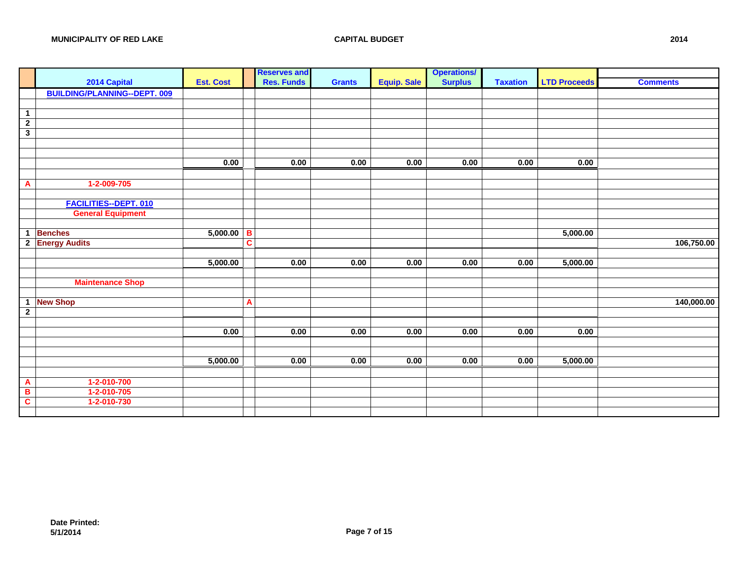|                         |                                     |                  | <b>Reserves and</b> |               |                    | <b>Operations/</b> |                 |                     |                 |
|-------------------------|-------------------------------------|------------------|---------------------|---------------|--------------------|--------------------|-----------------|---------------------|-----------------|
|                         | 2014 Capital                        | <b>Est. Cost</b> | <b>Res. Funds</b>   | <b>Grants</b> | <b>Equip. Sale</b> | <b>Surplus</b>     | <b>Taxation</b> | <b>LTD Proceeds</b> | <b>Comments</b> |
|                         | <b>BUILDING/PLANNING--DEPT. 009</b> |                  |                     |               |                    |                    |                 |                     |                 |
|                         |                                     |                  |                     |               |                    |                    |                 |                     |                 |
| $\overline{1}$          |                                     |                  |                     |               |                    |                    |                 |                     |                 |
| $\overline{2}$          |                                     |                  |                     |               |                    |                    |                 |                     |                 |
| $\mathbf{3}$            |                                     |                  |                     |               |                    |                    |                 |                     |                 |
|                         |                                     |                  |                     |               |                    |                    |                 |                     |                 |
|                         |                                     | 0.00             | 0.00                | 0.00          | 0.00               | 0.00               | 0.00            | 0.00                |                 |
|                         |                                     |                  |                     |               |                    |                    |                 |                     |                 |
| $\mathbf{A}$            | 1-2-009-705                         |                  |                     |               |                    |                    |                 |                     |                 |
|                         |                                     |                  |                     |               |                    |                    |                 |                     |                 |
|                         | <b>FACILITIES--DEPT. 010</b>        |                  |                     |               |                    |                    |                 |                     |                 |
|                         | <b>General Equipment</b>            |                  |                     |               |                    |                    |                 |                     |                 |
|                         |                                     |                  |                     |               |                    |                    |                 |                     |                 |
| $\mathbf{1}$            | <b>Benches</b>                      | $5,000.00$ B     |                     |               |                    |                    |                 | 5,000.00            |                 |
|                         | 2 Energy Audits                     |                  | C                   |               |                    |                    |                 |                     | 106,750.00      |
|                         |                                     |                  |                     |               |                    |                    |                 |                     |                 |
|                         |                                     | 5,000.00         | 0.00                | 0.00          | 0.00               | 0.00               | 0.00            | 5,000.00            |                 |
|                         |                                     |                  |                     |               |                    |                    |                 |                     |                 |
|                         | <b>Maintenance Shop</b>             |                  |                     |               |                    |                    |                 |                     |                 |
| $\mathbf{1}$            | <b>New Shop</b>                     |                  | A                   |               |                    |                    |                 |                     | 140,000.00      |
| $\overline{2}$          |                                     |                  |                     |               |                    |                    |                 |                     |                 |
|                         |                                     |                  |                     |               |                    |                    |                 |                     |                 |
|                         |                                     | 0.00             | 0.00                | 0.00          | 0.00               | 0.00               | 0.00            | 0.00                |                 |
|                         |                                     |                  |                     |               |                    |                    |                 |                     |                 |
|                         |                                     |                  |                     |               |                    |                    |                 |                     |                 |
|                         |                                     | 5,000.00         | 0.00                | 0.00          | 0.00               | 0.00               | 0.00            | 5,000.00            |                 |
|                         |                                     |                  |                     |               |                    |                    |                 |                     |                 |
| A                       | 1-2-010-700                         |                  |                     |               |                    |                    |                 |                     |                 |
| B                       | $1 - 2 - 010 - 705$                 |                  |                     |               |                    |                    |                 |                     |                 |
| $\overline{\mathbf{c}}$ | 1-2-010-730                         |                  |                     |               |                    |                    |                 |                     |                 |
|                         |                                     |                  |                     |               |                    |                    |                 |                     |                 |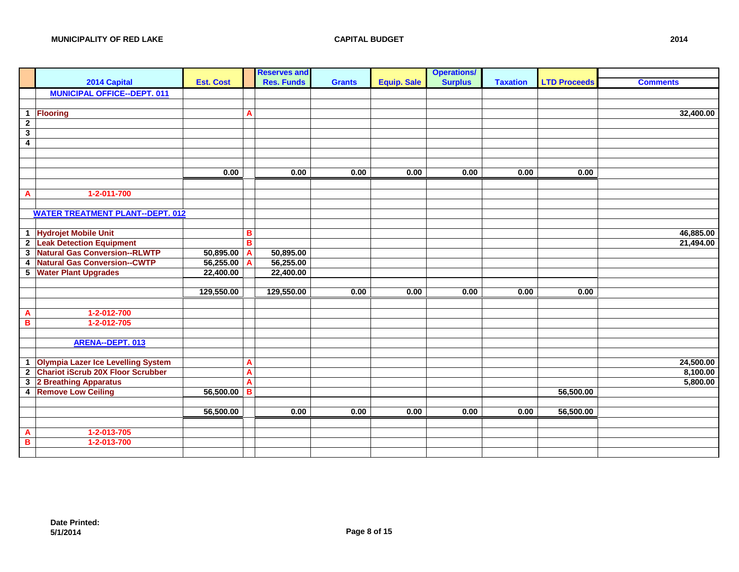|                         |                                          |                  |                         | <b>Reserves and</b> |               |                    | <b>Operations/</b> |                 |                     |                 |
|-------------------------|------------------------------------------|------------------|-------------------------|---------------------|---------------|--------------------|--------------------|-----------------|---------------------|-----------------|
|                         | 2014 Capital                             | <b>Est. Cost</b> |                         | <b>Res. Funds</b>   | <b>Grants</b> | <b>Equip. Sale</b> | <b>Surplus</b>     | <b>Taxation</b> | <b>LTD Proceeds</b> | <b>Comments</b> |
|                         | <b>MUNICIPAL OFFICE--DEPT. 011</b>       |                  |                         |                     |               |                    |                    |                 |                     |                 |
|                         |                                          |                  |                         |                     |               |                    |                    |                 |                     |                 |
| $\overline{1}$          | Flooring                                 |                  | A                       |                     |               |                    |                    |                 |                     | 32,400.00       |
| $\overline{2}$          |                                          |                  |                         |                     |               |                    |                    |                 |                     |                 |
| $\overline{\mathbf{3}}$ |                                          |                  |                         |                     |               |                    |                    |                 |                     |                 |
| $\overline{4}$          |                                          |                  |                         |                     |               |                    |                    |                 |                     |                 |
|                         |                                          |                  |                         |                     |               |                    |                    |                 |                     |                 |
|                         |                                          |                  |                         |                     |               |                    |                    |                 |                     |                 |
|                         |                                          | 0.00             |                         | 0.00                | 0.00          | 0.00               | 0.00               | 0.00            | 0.00                |                 |
|                         |                                          |                  |                         |                     |               |                    |                    |                 |                     |                 |
| $\mathbf{A}$            | $1 - 2 - 011 - 700$                      |                  |                         |                     |               |                    |                    |                 |                     |                 |
|                         |                                          |                  |                         |                     |               |                    |                    |                 |                     |                 |
|                         | <b>WATER TREATMENT PLANT--DEPT. 012</b>  |                  |                         |                     |               |                    |                    |                 |                     |                 |
|                         |                                          |                  |                         |                     |               |                    |                    |                 |                     |                 |
|                         | 1 Hydrojet Mobile Unit                   |                  | в                       |                     |               |                    |                    |                 |                     | 46,885.00       |
|                         | 2 Leak Detection Equipment               |                  | B                       |                     |               |                    |                    |                 |                     | 21,494.00       |
| $\mathbf{3}$            | <b>Natural Gas Conversion--RLWTP</b>     | 50,895.00 A      |                         | 50,895.00           |               |                    |                    |                 |                     |                 |
| $\overline{4}$          | <b>Natural Gas Conversion--CWTP</b>      | $56,255.00$ A    |                         | 56,255.00           |               |                    |                    |                 |                     |                 |
|                         | 5 Water Plant Upgrades                   | 22,400.00        |                         | 22,400.00           |               |                    |                    |                 |                     |                 |
|                         |                                          |                  |                         |                     |               |                    |                    |                 |                     |                 |
|                         |                                          | 129,550.00       |                         | 129,550.00          | 0.00          | 0.00               | 0.00               | 0.00            | 0.00                |                 |
|                         |                                          |                  |                         |                     |               |                    |                    |                 |                     |                 |
| $\overline{\mathbf{A}}$ | 1-2-012-700                              |                  |                         |                     |               |                    |                    |                 |                     |                 |
| $\overline{\mathbf{B}}$ | 1-2-012-705                              |                  |                         |                     |               |                    |                    |                 |                     |                 |
|                         |                                          |                  |                         |                     |               |                    |                    |                 |                     |                 |
|                         | <b>ARENA--DEPT. 013</b>                  |                  |                         |                     |               |                    |                    |                 |                     |                 |
|                         |                                          |                  |                         |                     |               |                    |                    |                 |                     |                 |
| $\mathbf{1}$            | Olympia Lazer Ice Levelling System       |                  | A                       |                     |               |                    |                    |                 |                     | 24,500.00       |
| $\overline{2}$          | <b>Chariot iScrub 20X Floor Scrubber</b> |                  | $\overline{\mathsf{A}}$ |                     |               |                    |                    |                 |                     | 8,100.00        |
|                         | 3 2 Breathing Apparatus                  |                  | A                       |                     |               |                    |                    |                 |                     | 5,800.00        |
|                         | 4 Remove Low Ceiling                     | $56,500.00$ B    |                         |                     |               |                    |                    |                 | 56,500.00           |                 |
|                         |                                          |                  |                         |                     |               |                    |                    |                 |                     |                 |
|                         |                                          | 56,500.00        |                         | 0.00                | 0.00          | 0.00               | 0.00               | 0.00            | 56,500.00           |                 |
|                         |                                          |                  |                         |                     |               |                    |                    |                 |                     |                 |
| $\overline{A}$          | 1-2-013-705                              |                  |                         |                     |               |                    |                    |                 |                     |                 |
| $\overline{\mathbf{B}}$ | 1-2-013-700                              |                  |                         |                     |               |                    |                    |                 |                     |                 |
|                         |                                          |                  |                         |                     |               |                    |                    |                 |                     |                 |
|                         |                                          |                  |                         |                     |               |                    |                    |                 |                     |                 |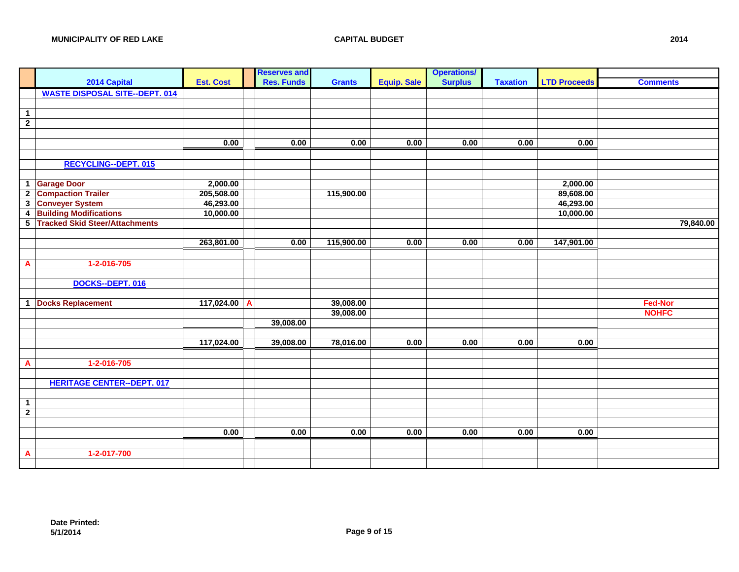|                         |                                       |                  |   | <b>Reserves and</b> |               |                    | <b>Operations/</b> |                 |                     |                 |
|-------------------------|---------------------------------------|------------------|---|---------------------|---------------|--------------------|--------------------|-----------------|---------------------|-----------------|
|                         | 2014 Capital                          | <b>Est. Cost</b> |   | <b>Res. Funds</b>   | <b>Grants</b> | <b>Equip. Sale</b> | <b>Surplus</b>     | <b>Taxation</b> | <b>LTD Proceeds</b> | <b>Comments</b> |
|                         | <b>WASTE DISPOSAL SITE--DEPT. 014</b> |                  |   |                     |               |                    |                    |                 |                     |                 |
|                         |                                       |                  |   |                     |               |                    |                    |                 |                     |                 |
| $\overline{1}$          |                                       |                  |   |                     |               |                    |                    |                 |                     |                 |
| $\overline{2}$          |                                       |                  |   |                     |               |                    |                    |                 |                     |                 |
|                         |                                       |                  |   |                     |               |                    |                    |                 |                     |                 |
|                         |                                       | 0.00             |   | 0.00                | 0.00          | 0.00               | 0.00               | 0.00            | 0.00                |                 |
|                         |                                       |                  |   |                     |               |                    |                    |                 |                     |                 |
|                         | <b>RECYCLING--DEPT. 015</b>           |                  |   |                     |               |                    |                    |                 |                     |                 |
|                         |                                       |                  |   |                     |               |                    |                    |                 |                     |                 |
| $\mathbf{1}$            | <b>Garage Door</b>                    | 2,000.00         |   |                     |               |                    |                    |                 | 2,000.00            |                 |
| $\overline{2}$          | <b>Compaction Trailer</b>             | 205,508.00       |   |                     | 115,900.00    |                    |                    |                 | 89,608.00           |                 |
| $\mathbf{3}$            | <b>Conveyer System</b>                | 46,293.00        |   |                     |               |                    |                    |                 | 46,293.00           |                 |
| $\overline{\mathbf{4}}$ | <b>Building Modifications</b>         | 10,000.00        |   |                     |               |                    |                    |                 | 10,000.00           |                 |
|                         | 5 Tracked Skid Steer/Attachments      |                  |   |                     |               |                    |                    |                 |                     | 79,840.00       |
|                         |                                       |                  |   |                     |               |                    |                    |                 |                     |                 |
|                         |                                       | 263,801.00       |   | 0.00                | 115,900.00    | 0.00               | 0.00               | 0.00            | 147,901.00          |                 |
|                         |                                       |                  |   |                     |               |                    |                    |                 |                     |                 |
| A                       | 1-2-016-705                           |                  |   |                     |               |                    |                    |                 |                     |                 |
|                         |                                       |                  |   |                     |               |                    |                    |                 |                     |                 |
|                         | DOCKS--DEPT. 016                      |                  |   |                     |               |                    |                    |                 |                     |                 |
|                         |                                       |                  |   |                     |               |                    |                    |                 |                     |                 |
| $\mathbf{1}$            | <b>Docks Replacement</b>              | 117,024.00       | A |                     | 39,008.00     |                    |                    |                 |                     | <b>Fed-Nor</b>  |
|                         |                                       |                  |   |                     | 39,008.00     |                    |                    |                 |                     | <b>NOHFC</b>    |
|                         |                                       |                  |   | 39,008.00           |               |                    |                    |                 |                     |                 |
|                         |                                       |                  |   |                     |               |                    |                    |                 |                     |                 |
|                         |                                       | 117,024.00       |   | 39,008.00           | 78,016.00     | 0.00               | 0.00               | 0.00            | 0.00                |                 |
|                         |                                       |                  |   |                     |               |                    |                    |                 |                     |                 |
| A                       | 1-2-016-705                           |                  |   |                     |               |                    |                    |                 |                     |                 |
|                         |                                       |                  |   |                     |               |                    |                    |                 |                     |                 |
|                         | <b>HERITAGE CENTER--DEPT. 017</b>     |                  |   |                     |               |                    |                    |                 |                     |                 |
|                         |                                       |                  |   |                     |               |                    |                    |                 |                     |                 |
| $\overline{1}$          |                                       |                  |   |                     |               |                    |                    |                 |                     |                 |
| $\overline{2}$          |                                       |                  |   |                     |               |                    |                    |                 |                     |                 |
|                         |                                       |                  |   |                     |               |                    |                    |                 |                     |                 |
|                         |                                       | 0.00             |   | 0.00                | 0.00          | 0.00               | 0.00               | 0.00            | 0.00                |                 |
|                         |                                       |                  |   |                     |               |                    |                    |                 |                     |                 |
| $\mathbf{A}$            | 1-2-017-700                           |                  |   |                     |               |                    |                    |                 |                     |                 |
|                         |                                       |                  |   |                     |               |                    |                    |                 |                     |                 |
|                         |                                       |                  |   |                     |               |                    |                    |                 |                     |                 |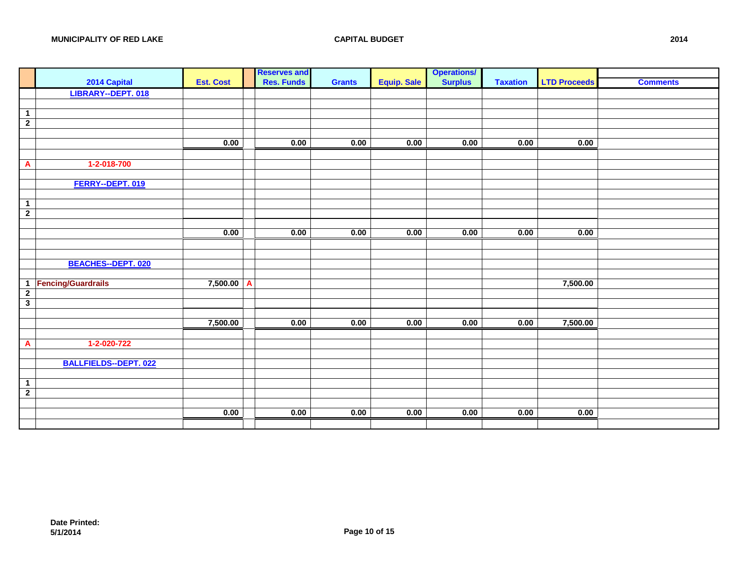|                         |                              |                  | <b>Reserves and</b> |               |                    | <b>Operations/</b> |                 |                     |                 |
|-------------------------|------------------------------|------------------|---------------------|---------------|--------------------|--------------------|-----------------|---------------------|-----------------|
|                         | 2014 Capital                 | <b>Est. Cost</b> | <b>Res. Funds</b>   | <b>Grants</b> | <b>Equip. Sale</b> | <b>Surplus</b>     | <b>Taxation</b> | <b>LTD Proceeds</b> | <b>Comments</b> |
|                         | <b>LIBRARY--DEPT. 018</b>    |                  |                     |               |                    |                    |                 |                     |                 |
|                         |                              |                  |                     |               |                    |                    |                 |                     |                 |
| $\overline{1}$          |                              |                  |                     |               |                    |                    |                 |                     |                 |
| $\overline{2}$          |                              |                  |                     |               |                    |                    |                 |                     |                 |
|                         |                              |                  |                     |               |                    |                    |                 |                     |                 |
|                         |                              | 0.00             | 0.00                | 0.00          | 0.00               | 0.00               | 0.00            | 0.00                |                 |
|                         |                              |                  |                     |               |                    |                    |                 |                     |                 |
| $\mathbf{A}$            | 1-2-018-700                  |                  |                     |               |                    |                    |                 |                     |                 |
|                         |                              |                  |                     |               |                    |                    |                 |                     |                 |
|                         | FERRY--DEPT. 019             |                  |                     |               |                    |                    |                 |                     |                 |
|                         |                              |                  |                     |               |                    |                    |                 |                     |                 |
| $\mathbf 1$             |                              |                  |                     |               |                    |                    |                 |                     |                 |
| $\overline{2}$          |                              |                  |                     |               |                    |                    |                 |                     |                 |
|                         |                              | 0.00             | 0.00                | 0.00          | 0.00               | 0.00               | 0.00            | 0.00                |                 |
|                         |                              |                  |                     |               |                    |                    |                 |                     |                 |
|                         |                              |                  |                     |               |                    |                    |                 |                     |                 |
|                         | <b>BEACHES--DEPT. 020</b>    |                  |                     |               |                    |                    |                 |                     |                 |
|                         |                              |                  |                     |               |                    |                    |                 |                     |                 |
|                         | 1 Fencing/Guardrails         | $7,500.00$ A     |                     |               |                    |                    |                 | 7,500.00            |                 |
| $\overline{2}$          |                              |                  |                     |               |                    |                    |                 |                     |                 |
| $\overline{\mathbf{3}}$ |                              |                  |                     |               |                    |                    |                 |                     |                 |
|                         |                              |                  |                     |               |                    |                    |                 |                     |                 |
|                         |                              | 7,500.00         | 0.00                | 0.00          | 0.00               | 0.00               | 0.00            | 7,500.00            |                 |
|                         |                              |                  |                     |               |                    |                    |                 |                     |                 |
| A                       | 1-2-020-722                  |                  |                     |               |                    |                    |                 |                     |                 |
|                         |                              |                  |                     |               |                    |                    |                 |                     |                 |
|                         | <b>BALLFIELDS--DEPT. 022</b> |                  |                     |               |                    |                    |                 |                     |                 |
|                         |                              |                  |                     |               |                    |                    |                 |                     |                 |
| $\overline{1}$          |                              |                  |                     |               |                    |                    |                 |                     |                 |
| $\overline{2}$          |                              |                  |                     |               |                    |                    |                 |                     |                 |
|                         |                              |                  |                     |               |                    |                    |                 |                     |                 |
|                         |                              | 0.00             | 0.00                | 0.00          | 0.00               | 0.00               | 0.00            | 0.00                |                 |
|                         |                              |                  |                     |               |                    |                    |                 |                     |                 |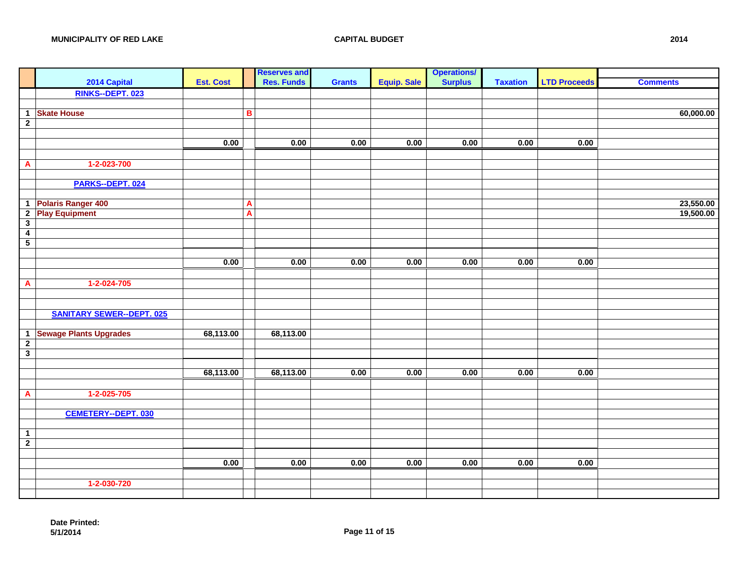|                                         |                                  |                  | <b>Reserves and</b> |               |                    | <b>Operations/</b> |                 |                     |                 |
|-----------------------------------------|----------------------------------|------------------|---------------------|---------------|--------------------|--------------------|-----------------|---------------------|-----------------|
|                                         | 2014 Capital                     | <b>Est. Cost</b> | <b>Res. Funds</b>   | <b>Grants</b> | <b>Equip. Sale</b> | <b>Surplus</b>     | <b>Taxation</b> | <b>LTD Proceeds</b> | <b>Comments</b> |
|                                         | RINKS--DEPT. 023                 |                  |                     |               |                    |                    |                 |                     |                 |
|                                         |                                  |                  |                     |               |                    |                    |                 |                     |                 |
| $\mathbf 1$                             | <b>Skate House</b>               |                  | в                   |               |                    |                    |                 |                     | 60,000.00       |
| $\overline{2}$                          |                                  |                  |                     |               |                    |                    |                 |                     |                 |
|                                         |                                  |                  |                     |               |                    |                    |                 |                     |                 |
|                                         |                                  | 0.00             | 0.00                | 0.00          | 0.00               | 0.00               | 0.00            | 0.00                |                 |
|                                         |                                  |                  |                     |               |                    |                    |                 |                     |                 |
| A                                       | 1-2-023-700                      |                  |                     |               |                    |                    |                 |                     |                 |
|                                         | PARKS--DEPT. 024                 |                  |                     |               |                    |                    |                 |                     |                 |
|                                         |                                  |                  |                     |               |                    |                    |                 |                     |                 |
|                                         | 1 Polaris Ranger 400             |                  | A                   |               |                    |                    |                 |                     | 23,550.00       |
| $\mathbf{2}$                            | <b>Play Equipment</b>            |                  | A                   |               |                    |                    |                 |                     | 19,500.00       |
| $\overline{\mathbf{3}}$                 |                                  |                  |                     |               |                    |                    |                 |                     |                 |
| $\overline{4}$                          |                                  |                  |                     |               |                    |                    |                 |                     |                 |
| $\overline{5}$                          |                                  |                  |                     |               |                    |                    |                 |                     |                 |
|                                         |                                  |                  |                     |               |                    |                    |                 |                     |                 |
|                                         |                                  | 0.00             | 0.00                | 0.00          | 0.00               | 0.00               | 0.00            | 0.00                |                 |
|                                         |                                  |                  |                     |               |                    |                    |                 |                     |                 |
| $\overline{A}$                          | $1 - 2 - 024 - 705$              |                  |                     |               |                    |                    |                 |                     |                 |
|                                         |                                  |                  |                     |               |                    |                    |                 |                     |                 |
|                                         |                                  |                  |                     |               |                    |                    |                 |                     |                 |
|                                         | <b>SANITARY SEWER--DEPT. 025</b> |                  |                     |               |                    |                    |                 |                     |                 |
|                                         |                                  |                  |                     |               |                    |                    |                 |                     |                 |
| $\mathbf 1$                             | <b>Sewage Plants Upgrades</b>    | 68,113.00        | 68,113.00           |               |                    |                    |                 |                     |                 |
| $\mathbf{2}$<br>$\overline{\mathbf{3}}$ |                                  |                  |                     |               |                    |                    |                 |                     |                 |
|                                         |                                  |                  |                     |               |                    |                    |                 |                     |                 |
|                                         |                                  | 68,113.00        | 68,113.00           | 0.00          | 0.00               | 0.00               | 0.00            | 0.00                |                 |
|                                         |                                  |                  |                     |               |                    |                    |                 |                     |                 |
| $\overline{A}$                          | $1 - 2 - 025 - 705$              |                  |                     |               |                    |                    |                 |                     |                 |
|                                         |                                  |                  |                     |               |                    |                    |                 |                     |                 |
|                                         | <b>CEMETERY--DEPT. 030</b>       |                  |                     |               |                    |                    |                 |                     |                 |
|                                         |                                  |                  |                     |               |                    |                    |                 |                     |                 |
| $\mathbf 1$                             |                                  |                  |                     |               |                    |                    |                 |                     |                 |
| $\overline{2}$                          |                                  |                  |                     |               |                    |                    |                 |                     |                 |
|                                         |                                  |                  |                     |               |                    |                    |                 |                     |                 |
|                                         |                                  | 0.00             | 0.00                | 0.00          | 0.00               | 0.00               | 0.00            | 0.00                |                 |
|                                         |                                  |                  |                     |               |                    |                    |                 |                     |                 |
|                                         | 1-2-030-720                      |                  |                     |               |                    |                    |                 |                     |                 |
|                                         |                                  |                  |                     |               |                    |                    |                 |                     |                 |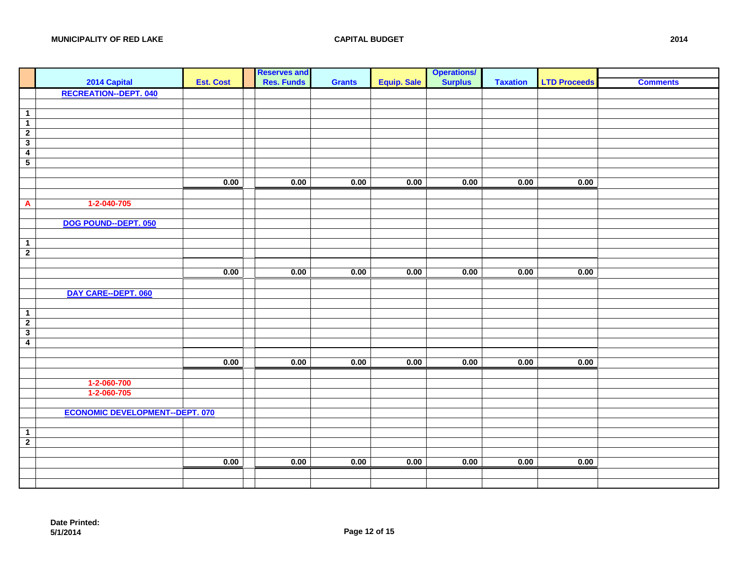|                         | 2014 Capital                           |                  |                                    |               |                    |                                      |                 |                     |                 |
|-------------------------|----------------------------------------|------------------|------------------------------------|---------------|--------------------|--------------------------------------|-----------------|---------------------|-----------------|
|                         |                                        | <b>Est. Cost</b> | <b>Reserves and<br/>Res. Funds</b> | <b>Grants</b> | <b>Equip. Sale</b> | <b>Operations/</b><br><b>Surplus</b> | <b>Taxation</b> | <b>LTD Proceeds</b> | <b>Comments</b> |
|                         | <b>RECREATION--DEPT. 040</b>           |                  |                                    |               |                    |                                      |                 |                     |                 |
|                         |                                        |                  |                                    |               |                    |                                      |                 |                     |                 |
| $\overline{1}$          |                                        |                  |                                    |               |                    |                                      |                 |                     |                 |
| $\overline{1}$          |                                        |                  |                                    |               |                    |                                      |                 |                     |                 |
| $\overline{2}$          |                                        |                  |                                    |               |                    |                                      |                 |                     |                 |
| $\overline{\mathbf{3}}$ |                                        |                  |                                    |               |                    |                                      |                 |                     |                 |
| $\overline{4}$          |                                        |                  |                                    |               |                    |                                      |                 |                     |                 |
| $\overline{5}$          |                                        |                  |                                    |               |                    |                                      |                 |                     |                 |
|                         |                                        |                  |                                    |               |                    |                                      |                 |                     |                 |
|                         |                                        | 0.00             | 0.00                               | 0.00          | 0.00               | 0.00                                 | 0.00            | 0.00                |                 |
|                         |                                        |                  |                                    |               |                    |                                      |                 |                     |                 |
| $\overline{A}$          | 1-2-040-705                            |                  |                                    |               |                    |                                      |                 |                     |                 |
|                         | DOG POUND--DEPT. 050                   |                  |                                    |               |                    |                                      |                 |                     |                 |
|                         |                                        |                  |                                    |               |                    |                                      |                 |                     |                 |
| $\overline{1}$          |                                        |                  |                                    |               |                    |                                      |                 |                     |                 |
| $\overline{2}$          |                                        |                  |                                    |               |                    |                                      |                 |                     |                 |
|                         |                                        |                  |                                    |               |                    |                                      |                 |                     |                 |
|                         |                                        | 0.00             | 0.00                               | 0.00          | 0.00               | 0.00                                 | 0.00            | 0.00                |                 |
|                         |                                        |                  |                                    |               |                    |                                      |                 |                     |                 |
|                         | DAY CARE--DEPT. 060                    |                  |                                    |               |                    |                                      |                 |                     |                 |
|                         |                                        |                  |                                    |               |                    |                                      |                 |                     |                 |
| $\mathbf 1$             |                                        |                  |                                    |               |                    |                                      |                 |                     |                 |
| $\overline{2}$          |                                        |                  |                                    |               |                    |                                      |                 |                     |                 |
| $\overline{\mathbf{3}}$ |                                        |                  |                                    |               |                    |                                      |                 |                     |                 |
| $\overline{4}$          |                                        |                  |                                    |               |                    |                                      |                 |                     |                 |
|                         |                                        |                  |                                    |               |                    |                                      |                 |                     |                 |
|                         |                                        | 0.00             | 0.00                               | 0.00          | 0.00               | 0.00                                 | 0.00            | 0.00                |                 |
|                         | 1-2-060-700                            |                  |                                    |               |                    |                                      |                 |                     |                 |
|                         | 1-2-060-705                            |                  |                                    |               |                    |                                      |                 |                     |                 |
|                         |                                        |                  |                                    |               |                    |                                      |                 |                     |                 |
|                         | <b>ECONOMIC DEVELOPMENT--DEPT. 070</b> |                  |                                    |               |                    |                                      |                 |                     |                 |
|                         |                                        |                  |                                    |               |                    |                                      |                 |                     |                 |
| $\overline{1}$          |                                        |                  |                                    |               |                    |                                      |                 |                     |                 |
| $\overline{2}$          |                                        |                  |                                    |               |                    |                                      |                 |                     |                 |
|                         |                                        |                  |                                    |               |                    |                                      |                 |                     |                 |
|                         |                                        | 0.00             | 0.00                               | 0.00          | 0.00               | 0.00                                 | 0.00            | 0.00                |                 |
|                         |                                        |                  |                                    |               |                    |                                      |                 |                     |                 |
|                         |                                        |                  |                                    |               |                    |                                      |                 |                     |                 |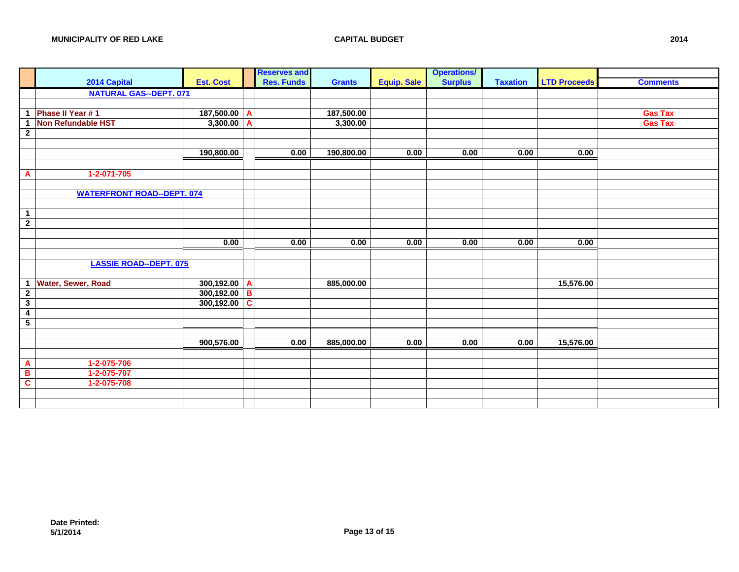|                         |                                   |                  |   | <b>Reserves and</b> |               |                    | <b>Operations/</b> |                 |                     |                 |
|-------------------------|-----------------------------------|------------------|---|---------------------|---------------|--------------------|--------------------|-----------------|---------------------|-----------------|
|                         | 2014 Capital                      | <b>Est. Cost</b> |   | <b>Res. Funds</b>   | <b>Grants</b> | <b>Equip. Sale</b> | <b>Surplus</b>     | <b>Taxation</b> | <b>LTD Proceeds</b> | <b>Comments</b> |
|                         | <b>NATURAL GAS--DEPT. 071</b>     |                  |   |                     |               |                    |                    |                 |                     |                 |
|                         |                                   |                  |   |                     |               |                    |                    |                 |                     |                 |
| $\mathbf{1}$            | Phase II Year #1                  | 187,500.00       | A |                     | 187,500.00    |                    |                    |                 |                     | <b>Gas Tax</b>  |
| $\overline{1}$          | <b>Non Refundable HST</b>         | 3,300.00         | A |                     | 3,300.00      |                    |                    |                 |                     | <b>Gas Tax</b>  |
| $\mathbf{2}$            |                                   |                  |   |                     |               |                    |                    |                 |                     |                 |
|                         |                                   |                  |   |                     |               |                    |                    |                 |                     |                 |
|                         |                                   | 190,800.00       |   | 0.00                | 190,800.00    | 0.00               | 0.00               | 0.00            | 0.00                |                 |
|                         |                                   |                  |   |                     |               |                    |                    |                 |                     |                 |
| $\overline{A}$          | $1 - 2 - 071 - 705$               |                  |   |                     |               |                    |                    |                 |                     |                 |
|                         |                                   |                  |   |                     |               |                    |                    |                 |                     |                 |
|                         | <b>WATERFRONT ROAD--DEPT. 074</b> |                  |   |                     |               |                    |                    |                 |                     |                 |
|                         |                                   |                  |   |                     |               |                    |                    |                 |                     |                 |
| $\overline{1}$          |                                   |                  |   |                     |               |                    |                    |                 |                     |                 |
| $\overline{2}$          |                                   |                  |   |                     |               |                    |                    |                 |                     |                 |
|                         |                                   |                  |   |                     |               |                    |                    |                 |                     |                 |
|                         |                                   | 0.00             |   | 0.00                | 0.00          | 0.00               | 0.00               | 0.00            | 0.00                |                 |
|                         |                                   |                  |   |                     |               |                    |                    |                 |                     |                 |
|                         | <b>LASSIE ROAD--DEPT. 075</b>     |                  |   |                     |               |                    |                    |                 |                     |                 |
|                         |                                   |                  |   |                     |               |                    |                    |                 |                     |                 |
| $\overline{1}$          | Water, Sewer, Road                | $300,192.00$ A   |   |                     | 885,000.00    |                    |                    |                 | 15,576.00           |                 |
| $\overline{2}$          |                                   | 300,192.00       | B |                     |               |                    |                    |                 |                     |                 |
| $\overline{\mathbf{3}}$ |                                   | 300,192.00       | C |                     |               |                    |                    |                 |                     |                 |
| $\overline{4}$          |                                   |                  |   |                     |               |                    |                    |                 |                     |                 |
| $\overline{5}$          |                                   |                  |   |                     |               |                    |                    |                 |                     |                 |
|                         |                                   |                  |   |                     |               |                    |                    |                 |                     |                 |
|                         |                                   | 900,576.00       |   | 0.00                | 885,000.00    | 0.00               | 0.00               | 0.00            | 15,576.00           |                 |
|                         |                                   |                  |   |                     |               |                    |                    |                 |                     |                 |
| $\overline{\mathbf{A}}$ | 1-2-075-706                       |                  |   |                     |               |                    |                    |                 |                     |                 |
| $\overline{\mathbf{B}}$ | 1-2-075-707                       |                  |   |                     |               |                    |                    |                 |                     |                 |
| $\overline{\mathbf{c}}$ | 1-2-075-708                       |                  |   |                     |               |                    |                    |                 |                     |                 |
|                         |                                   |                  |   |                     |               |                    |                    |                 |                     |                 |
|                         |                                   |                  |   |                     |               |                    |                    |                 |                     |                 |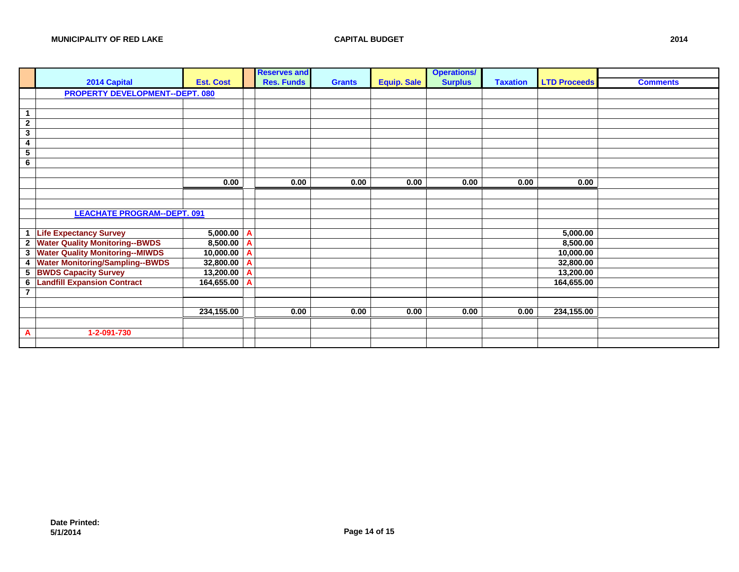|                         |                                        |                  | <b>Reserves and</b> |               |                    | <b>Operations/</b> |                 |                     |                 |
|-------------------------|----------------------------------------|------------------|---------------------|---------------|--------------------|--------------------|-----------------|---------------------|-----------------|
|                         | 2014 Capital                           | <b>Est. Cost</b> | <b>Res. Funds</b>   | <b>Grants</b> | <b>Equip. Sale</b> | <b>Surplus</b>     | <b>Taxation</b> | <b>LTD Proceeds</b> | <b>Comments</b> |
|                         | <b>PROPERTY DEVELOPMENT--DEPT. 080</b> |                  |                     |               |                    |                    |                 |                     |                 |
|                         |                                        |                  |                     |               |                    |                    |                 |                     |                 |
| $\mathbf{1}$            |                                        |                  |                     |               |                    |                    |                 |                     |                 |
| $\overline{2}$          |                                        |                  |                     |               |                    |                    |                 |                     |                 |
| $\mathbf 3$             |                                        |                  |                     |               |                    |                    |                 |                     |                 |
| 4                       |                                        |                  |                     |               |                    |                    |                 |                     |                 |
| $\overline{5}$          |                                        |                  |                     |               |                    |                    |                 |                     |                 |
| $\bf 6$                 |                                        |                  |                     |               |                    |                    |                 |                     |                 |
|                         |                                        |                  |                     |               |                    |                    |                 |                     |                 |
|                         |                                        | 0.00             | 0.00                | 0.00          | 0.00               | 0.00               | 0.00            | 0.00                |                 |
|                         |                                        |                  |                     |               |                    |                    |                 |                     |                 |
|                         |                                        |                  |                     |               |                    |                    |                 |                     |                 |
|                         | <b>LEACHATE PROGRAM--DEPT. 091</b>     |                  |                     |               |                    |                    |                 |                     |                 |
|                         |                                        |                  |                     |               |                    |                    |                 |                     |                 |
| $\mathbf{1}$            | <b>Life Expectancy Survey</b>          | $5,000.00$ $A$   |                     |               |                    |                    |                 | 5,000.00            |                 |
| $\overline{2}$          | <b>Water Quality Monitoring--BWDS</b>  | $8,500.00$ A     |                     |               |                    |                    |                 | 8,500.00            |                 |
| $\overline{\mathbf{3}}$ | <b>Water Quality Monitoring--MIWDS</b> | 10,000.00 A      |                     |               |                    |                    |                 | 10,000.00           |                 |
| $\overline{\mathbf{4}}$ | <b>Water Monitoring/Sampling--BWDS</b> | $32,800.00$ A    |                     |               |                    |                    |                 | 32,800.00           |                 |
| 5                       | <b>BWDS Capacity Survey</b>            | 13,200.00 A      |                     |               |                    |                    |                 | 13,200.00           |                 |
| 6                       | <b>Landfill Expansion Contract</b>     | 164,655.00 A     |                     |               |                    |                    |                 | 164,655.00          |                 |
| $\overline{7}$          |                                        |                  |                     |               |                    |                    |                 |                     |                 |
|                         |                                        |                  |                     |               |                    |                    |                 |                     |                 |
|                         |                                        | 234,155.00       | 0.00                | 0.00          | 0.00               | 0.00               | 0.00            | 234,155.00          |                 |
|                         |                                        |                  |                     |               |                    |                    |                 |                     |                 |
| $\mathbf{A}$            | 1-2-091-730                            |                  |                     |               |                    |                    |                 |                     |                 |
|                         |                                        |                  |                     |               |                    |                    |                 |                     |                 |